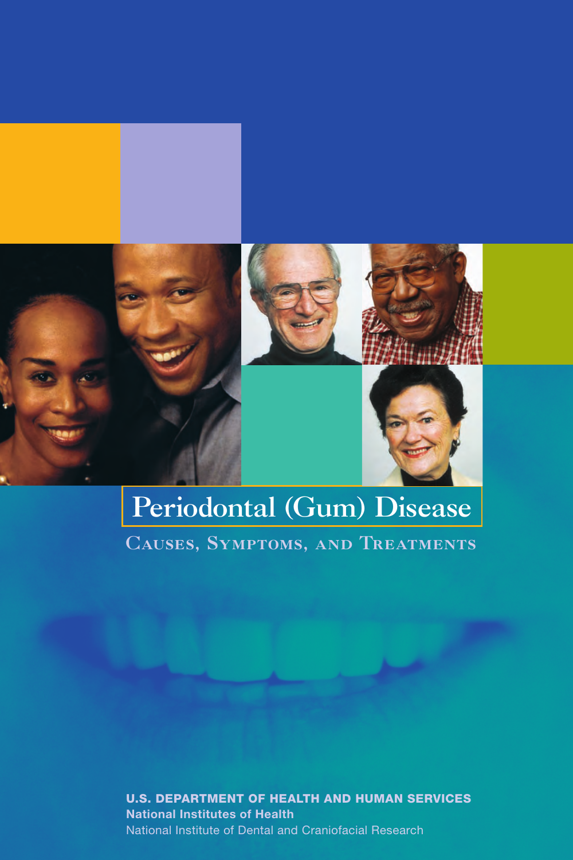



# Periodontal (Gum) Disease Causes, Symptoms, and Treatments

U.S. Department of Health and Human Services National Institutes of Health National Institute of Dental and Craniofacial Research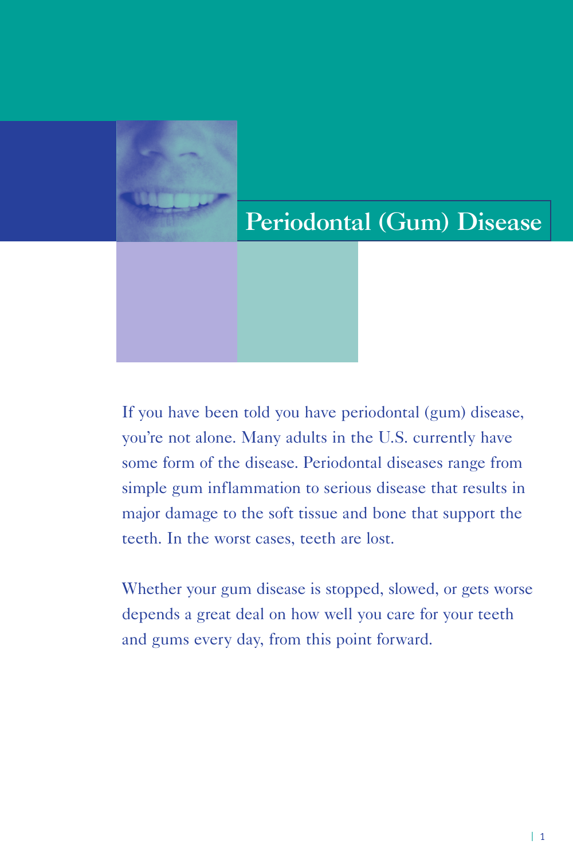# Periodontal (Gum) Disease

If you have been told you have periodontal (gum) disease, you're not alone. Many adults in the U.S. currently have some form of the disease. Periodontal diseases range from simple gum inflammation to serious disease that results in major damage to the soft tissue and bone that support the teeth. In the worst cases, teeth are lost.

Whether your gum disease is stopped, slowed, or gets worse depends a great deal on how well you care for your teeth and gums every day, from this point forward.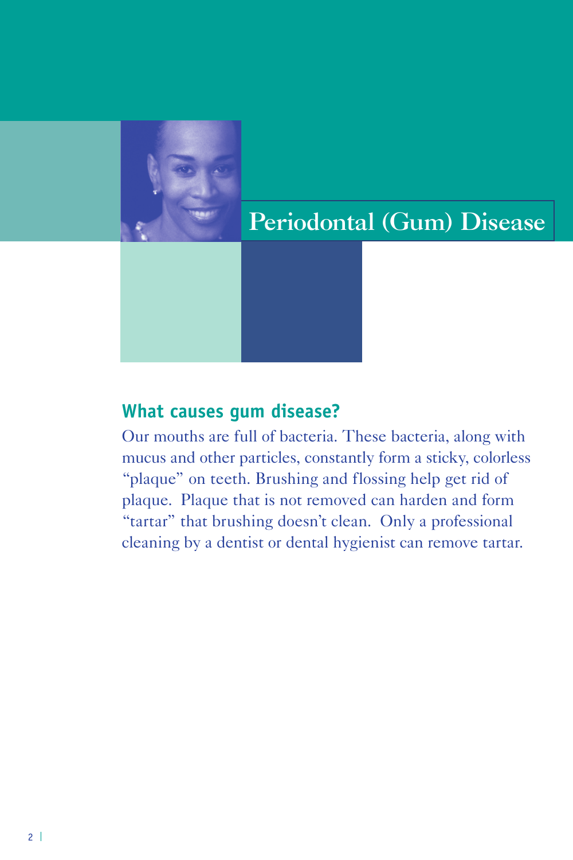

# Periodontal (Gum) Disease

#### **What causes gum disease?**

Our mouths are full of bacteria. These bacteria, along with mucus and other particles, constantly form a sticky, colorless "plaque" on teeth. Brushing and flossing help get rid of plaque. Plaque that is not removed can harden and form "tartar" that brushing doesn't clean. Only a professional cleaning by a dentist or dental hygienist can remove tartar.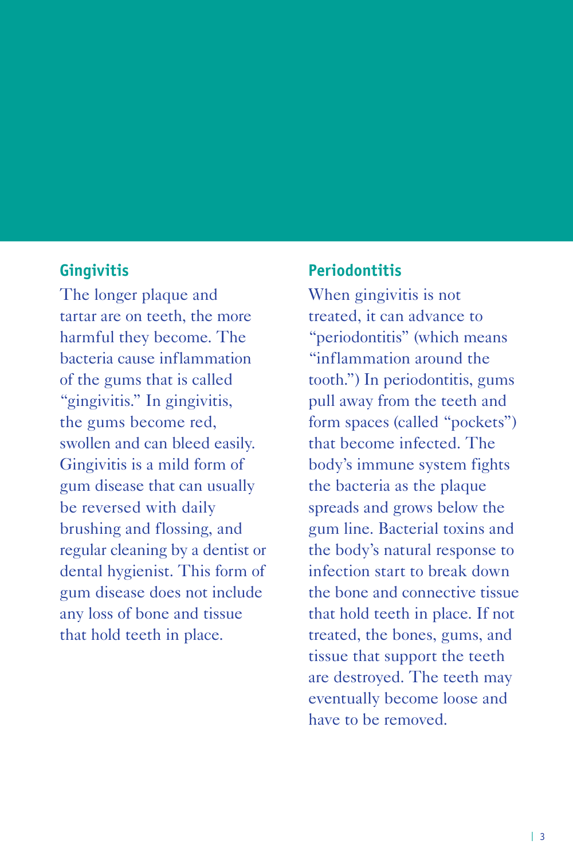#### **Gingivitis**

The longer plaque and tartar are on teeth, the more harmful they become. The bacteria cause inflammation of the gums that is called "gingivitis." In gingivitis, the gums become red, swollen and can bleed easily. Gingivitis is a mild form of gum disease that can usually be reversed with daily brushing and flossing, and regular cleaning by a dentist or dental hygienist. This form of gum disease does not include any loss of bone and tissue that hold teeth in place.

#### **Periodontitis**

When gingivitis is not treated, it can advance to "periodontitis" (which means "inflammation around the tooth.") In periodontitis, gums pull away from the teeth and form spaces (called "pockets") that become infected. The body's immune system fights the bacteria as the plaque spreads and grows below the gum line. Bacterial toxins and the body's natural response to infection start to break down the bone and connective tissue that hold teeth in place. If not treated, the bones, gums, and tissue that support the teeth are destroyed. The teeth may eventually become loose and have to be removed.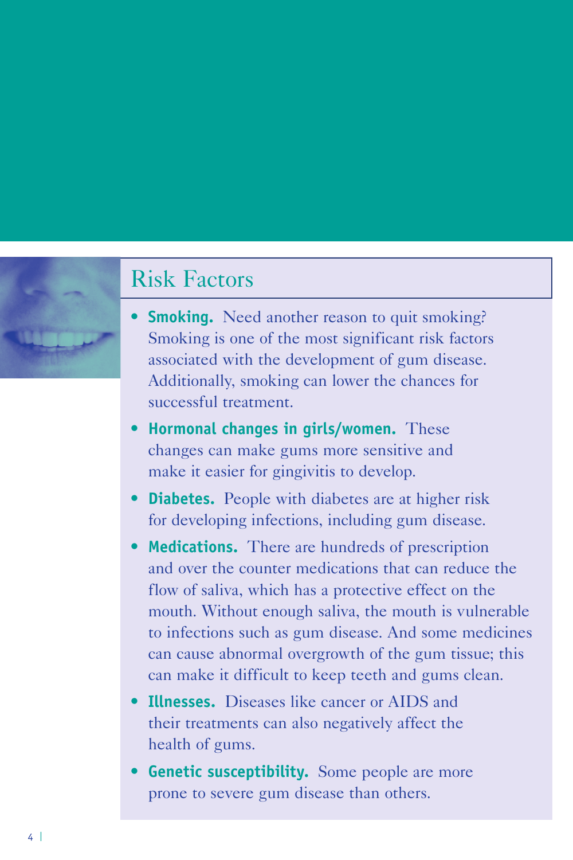### Risk Factors

- **Smoking.** Need another reason to quit smoking? Smoking is one of the most significant risk factors associated with the development of gum disease. Additionally, smoking can lower the chances for successful treatment.
- **Hormonal changes in girls/women.** These changes can make gums more sensitive and make it easier for gingivitis to develop.
- **Diabetes.** People with diabetes are at higher risk for developing infections, including gum disease.
- **Medications.** There are hundreds of prescription and over the counter medications that can reduce the flow of saliva, which has a protective effect on the mouth. Without enough saliva, the mouth is vulnerable to infections such as gum disease. And some medicines can cause abnormal overgrowth of the gum tissue; this can make it difficult to keep teeth and gums clean.
- **Illnesses.** Diseases like cancer or AIDS and their treatments can also negatively affect the health of gums.
- **Genetic susceptibility.** Some people are more prone to severe gum disease than others.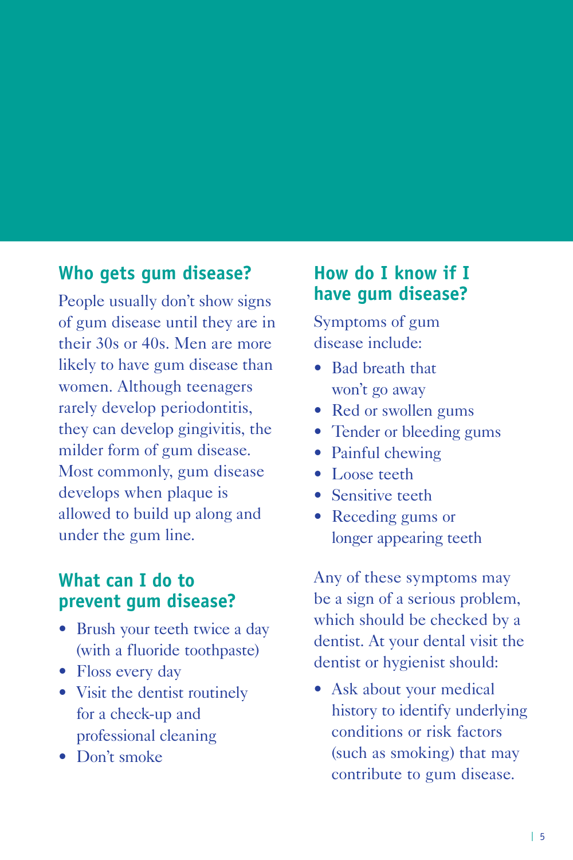#### **Who gets gum disease?**

People usually don't show signs of gum disease until they are in their 30s or 40s. Men are more likely to have gum disease than women. Although teenagers rarely develop periodontitis, they can develop gingivitis, the milder form of gum disease. Most commonly, gum disease develops when plaque is allowed to build up along and under the gum line.

#### **What can I do to prevent gum disease?**

- Brush your teeth twice a day (with a fluoride toothpaste)
- Floss every day
- Visit the dentist routinely for a check-up and professional cleaning
- Don't smoke

#### **How do I know if I have gum disease?**

Symptoms of gum disease include:

- Bad breath that won't go away
- Red or swollen gums
- Tender or bleeding gums
- Painful chewing
- Loose teeth
- Sensitive teeth
- Receding gums or longer appearing teeth

Any of these symptoms may be a sign of a serious problem, which should be checked by a dentist. At your dental visit the dentist or hygienist should:

• Ask about your medical history to identify underlying conditions or risk factors (such as smoking) that may contribute to gum disease.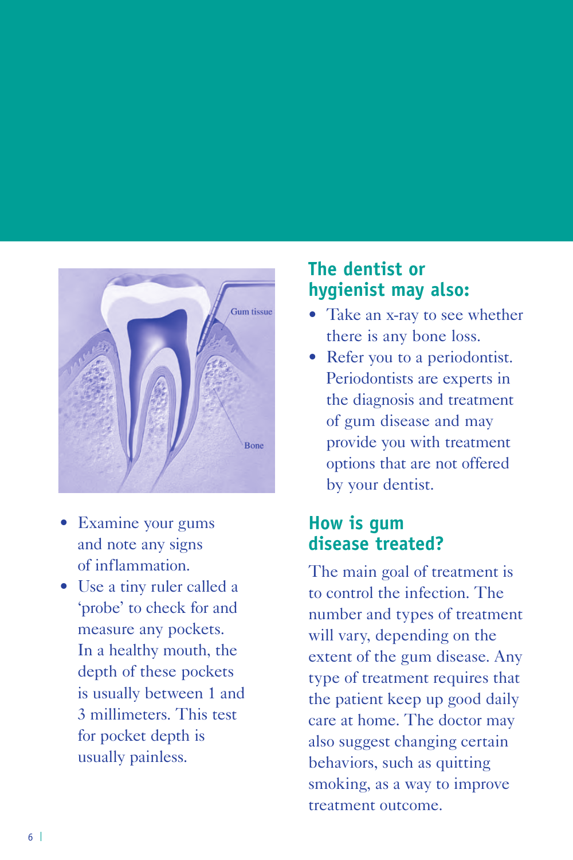

- Examine your gums and note any signs of inflammation.
- Use a tiny ruler called a 'probe' to check for and measure any pockets. In a healthy mouth, the depth of these pockets is usually between 1 and 3 millimeters. This test for pocket depth is usually painless.

#### **The dentist or hygienist may also:**

- Take an x-ray to see whether there is any bone loss.
- Refer you to a periodontist. Periodontists are experts in the diagnosis and treatment of gum disease and may provide you with treatment options that are not offered by your dentist.

#### **How is gum disease treated?**

The main goal of treatment is to control the infection. The number and types of treatment will vary, depending on the extent of the gum disease. Any type of treatment requires that the patient keep up good daily care at home. The doctor may also suggest changing certain behaviors, such as quitting smoking, as a way to improve treatment outcome.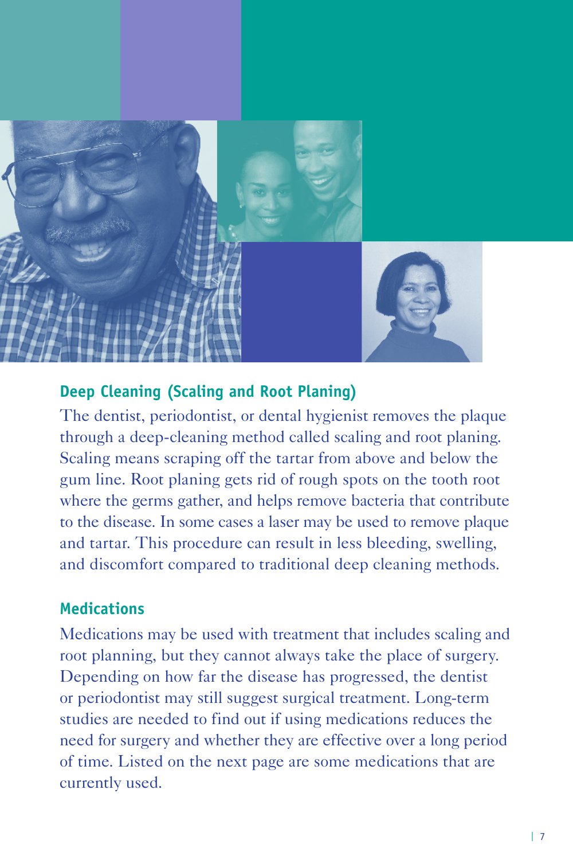

#### **Deep Cleaning (Scaling and Root Planing)**

The dentist, periodontist, or dental hygienist removes the plaque through a deep-cleaning method called scaling and root planing. Scaling means scraping off the tartar from above and below the gum line. Root planing gets rid of rough spots on the tooth root where the germs gather, and helps remove bacteria that contribute to the disease. In some cases a laser may be used to remove plaque and tartar. This procedure can result in less bleeding, swelling, and discomfort compared to traditional deep cleaning methods.

#### **Medications**

Medications may be used with treatment that includes scaling and root planning, but they cannot always take the place of surgery. Depending on how far the disease has progressed, the dentist or periodontist may still suggest surgical treatment. Long-term studies are needed to find out if using medications reduces the need for surgery and whether they are effective over a long period of time. Listed on the next page are some medications that are currently used.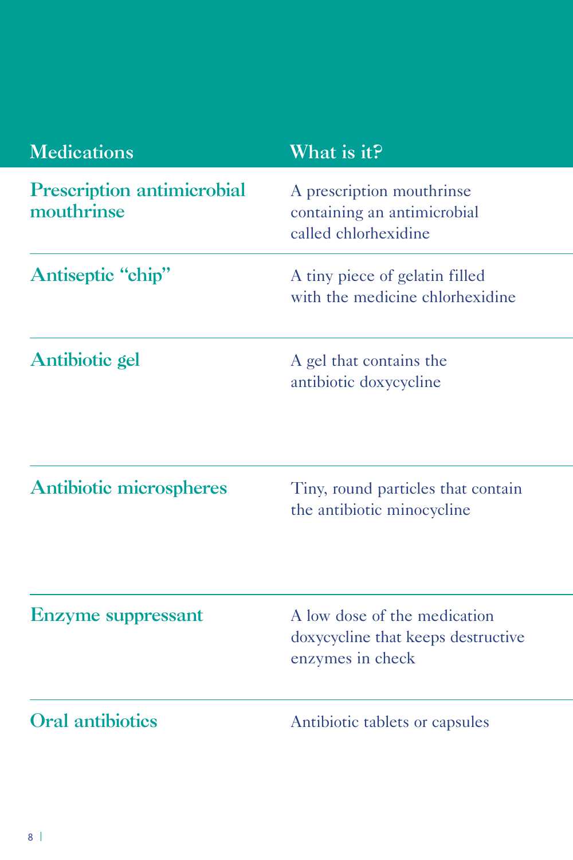| <b>Medications</b>                              | What is it?                                                                            |
|-------------------------------------------------|----------------------------------------------------------------------------------------|
| <b>Prescription antimicrobial</b><br>mouthrinse | A prescription mouthrinse<br>containing an antimicrobial<br>called chlorhexidine       |
| Antiseptic "chip"                               | A tiny piece of gelatin filled<br>with the medicine chlorhexidine                      |
| Antibiotic gel                                  | A gel that contains the<br>antibiotic doxycycline                                      |
| <b>Antibiotic microspheres</b>                  | Tiny, round particles that contain<br>the antibiotic minocycline                       |
| <b>Enzyme</b> suppressant                       | A low dose of the medication<br>doxycycline that keeps destructive<br>enzymes in check |
| <b>Oral antibiotics</b>                         | Antibiotic tablets or capsules                                                         |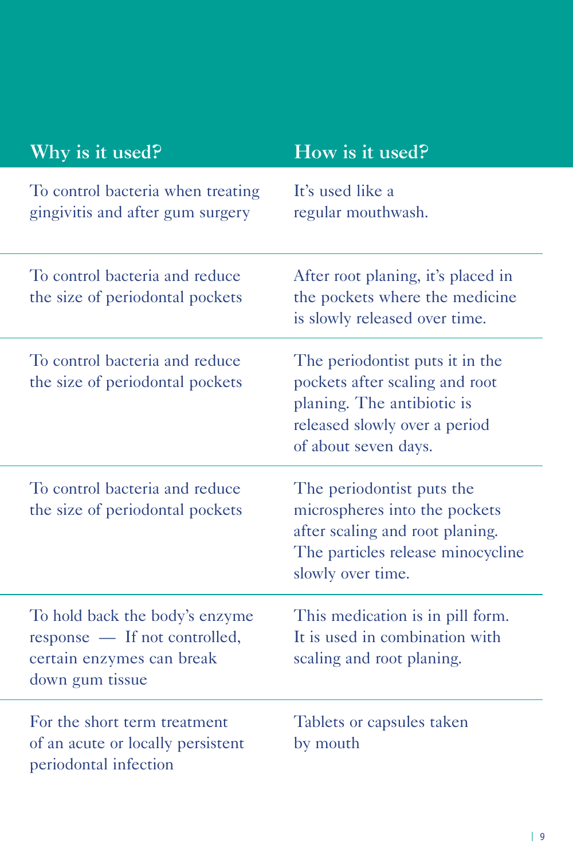| Why is it used?                                                                                                 | How is it used?                                                                                                                                          |
|-----------------------------------------------------------------------------------------------------------------|----------------------------------------------------------------------------------------------------------------------------------------------------------|
| To control bacteria when treating<br>gingivitis and after gum surgery                                           | It's used like a<br>regular mouthwash.                                                                                                                   |
| To control bacteria and reduce<br>the size of periodontal pockets                                               | After root planing, it's placed in<br>the pockets where the medicine<br>is slowly released over time.                                                    |
| To control bacteria and reduce<br>the size of periodontal pockets                                               | The periodontist puts it in the<br>pockets after scaling and root<br>planing. The antibiotic is<br>released slowly over a period<br>of about seven days. |
| To control bacteria and reduce<br>the size of periodontal pockets                                               | The periodontist puts the<br>microspheres into the pockets<br>after scaling and root planing.<br>The particles release minocycline<br>slowly over time.  |
| To hold back the body's enzyme<br>response — If not controlled,<br>certain enzymes can break<br>down gum tissue | This medication is in pill form.<br>It is used in combination with<br>scaling and root planing.                                                          |
| For the short term treatment<br>of an acute or locally persistent<br>periodontal infection                      | Tablets or capsules taken<br>by mouth                                                                                                                    |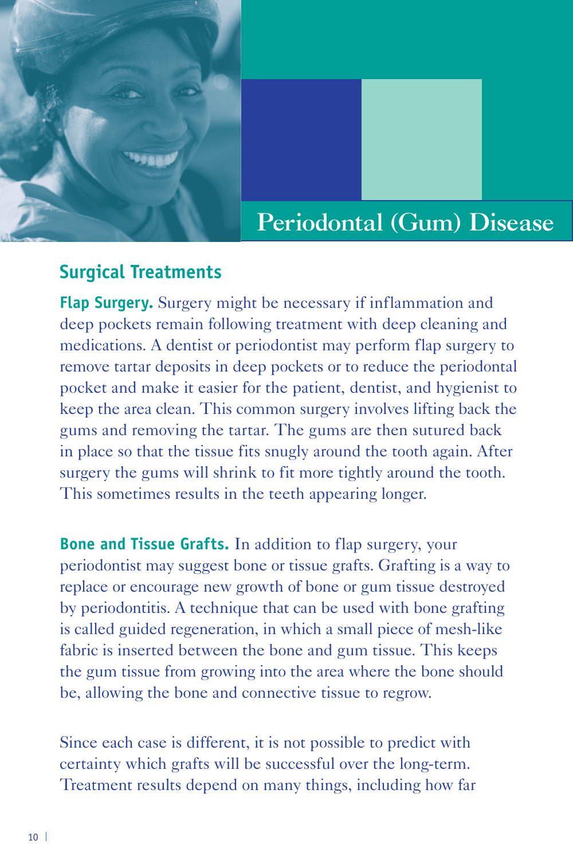

## Periodontal (Gum) Disease

#### **Surgical Treatments**

**Flap Surgery.** Surgery might be necessary if inflammation and deep pockets remain following treatment with deep cleaning and medications. A dentist or periodontist may perform flap surgery to remove tartar deposits in deep pockets or to reduce the periodontal pocket and make it easier for the patient, dentist, and hygienist to keep the area clean. This common surgery involves lifting back the gums and removing the tartar. The gums are then sutured back in place so that the tissue fits snugly around the tooth again. After surgery the gums will shrink to fit more tightly around the tooth. This sometimes results in the teeth appearing longer.

**Bone and Tissue Grafts.** In addition to flap surgery, your periodontist may suggest bone or tissue grafts. Grafting is a way to replace or encourage new growth of bone or gum tissue destroyed by periodontitis. A technique that can be used with bone grafting is called guided regeneration, in which a small piece of mesh-like fabric is inserted between the bone and gum tissue. This keeps the gum tissue from growing into the area where the bone should be, allowing the bone and connective tissue to regrow.

Since each case is different, it is not possible to predict with certainty which grafts will be successful over the long-term. Treatment results depend on many things, including how far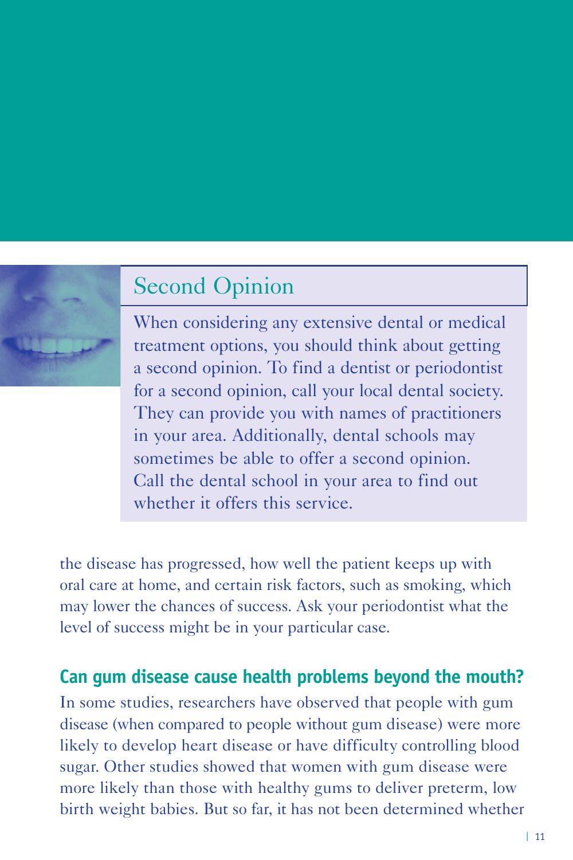# Second Opinion

When considering any extensive dental or medical treatment options, you should think about getting a second opinion. To find a dentist or periodontist for a second opinion, call your local dental society. They can provide you with names of practitioners in your area. Additionally, dental schools may sometimes be able to offer a second opinion. Call the dental school in your area to find out whether it offers this service.

the disease has progressed, how well the patient keeps up with oral care at home, and certain risk factors, such as smoking, which may lower the chances of success. Ask your periodontist what the level of success might be in your particular case.

#### **Can gum disease cause health problems beyond the mouth?**

In some studies, researchers have observed that people with gum disease (when compared to people without gum disease) were more likely to develop heart disease or have difficulty controlling blood sugar. Other studies showed that women with gum disease were more likely than those with healthy gums to deliver preterm, low birth weight babies. But so far, it has not been determined whether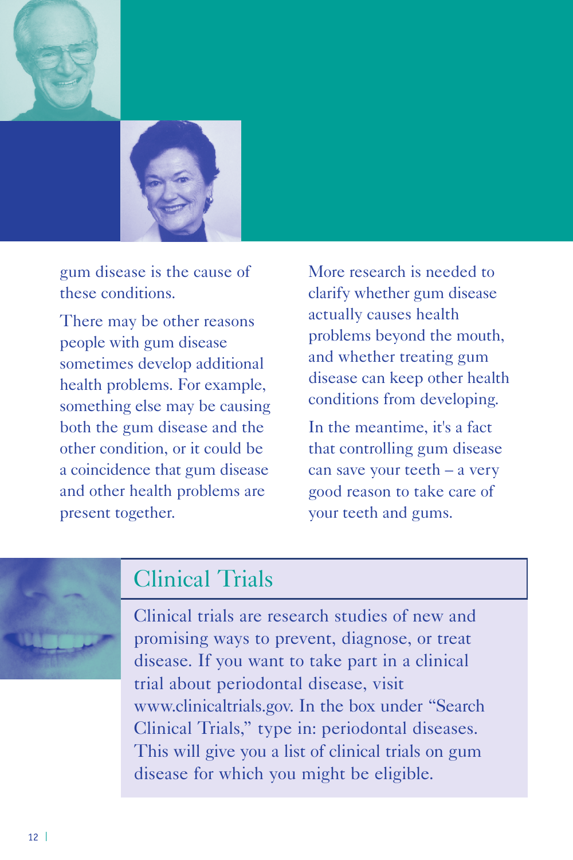



gum disease is the cause of these conditions.

There may be other reasons people with gum disease sometimes develop additional health problems. For example, something else may be causing both the gum disease and the other condition, or it could be a coincidence that gum disease and other health problems are present together.

More research is needed to clarify whether gum disease actually causes health problems beyond the mouth, and whether treating gum disease can keep other health conditions from developing.

In the meantime, it's a fact that controlling gum disease can save your teeth – a very good reason to take care of your teeth and gums.

# Clinical Trials

Clinical trials are research studies of new and promising ways to prevent, diagnose, or treat disease. If you want to take part in a clinical trial about periodontal disease, visit www.clinicaltrials.gov. In the box under "Search Clinical Trials," type in: periodontal diseases. This will give you a list of clinical trials on gum disease for which you might be eligible.